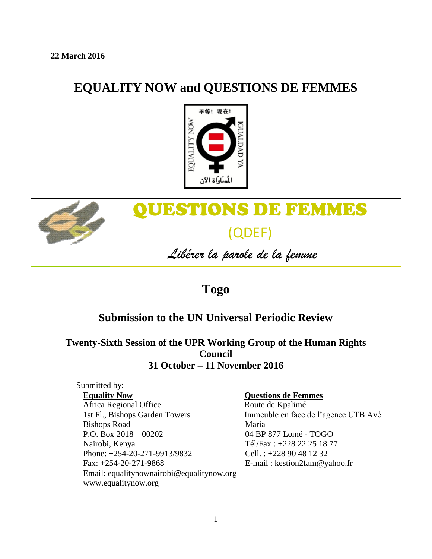## **EQUALITY NOW and QUESTIONS DE FEMMES**





# QUESTIONS DE FEMMES (QDEF)

*Libérer la parole de la femme*

## **Togo**

### **Submission to the UN Universal Periodic Review**

**Twenty-Sixth Session of the UPR Working Group of the Human Rights Council 31 October – 11 November 2016**

#### Submitted by: **Equality Now**

Africa Regional Office 1st Fl., Bishops Garden Towers Bishops Road P.O. Box 2018 – 00202 Nairobi, Kenya Phone: +254-20-271-9913/9832 Fax: +254-20-271-9868 Email: equalitynownairobi@equalitynow.org www.equalitynow.org

#### **Questions de Femmes**

Route de Kpalimé Immeuble en face de l'agence UTB Avé Maria 04 BP 877 Lomé - TOGO Tél/Fax : +228 22 25 18 77 Cell. : +228 90 48 12 32 E-mail : kestion2fam@yahoo.fr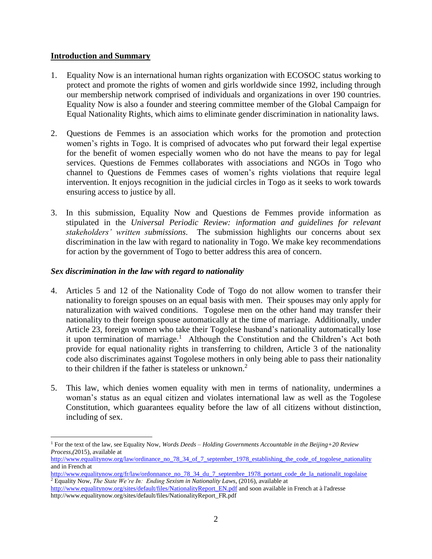#### **Introduction and Summary**

 $\overline{\phantom{a}}$ 

- 1. Equality Now is an international human rights organization with ECOSOC status working to protect and promote the rights of women and girls worldwide since 1992, including through our membership network comprised of individuals and organizations in over 190 countries. Equality Now is also a founder and steering committee member of the Global Campaign for Equal Nationality Rights, which aims to eliminate gender discrimination in nationality laws.
- 2. Questions de Femmes is an association which works for the promotion and protection women's rights in Togo. It is comprised of advocates who put forward their legal expertise for the benefit of women especially women who do not have the means to pay for legal services. Questions de Femmes collaborates with associations and NGOs in Togo who channel to Questions de Femmes cases of women's rights violations that require legal intervention. It enjoys recognition in the judicial circles in Togo as it seeks to work towards ensuring access to justice by all.
- 3. In this submission, Equality Now and Questions de Femmes provide information as stipulated in the *Universal Periodic Review: information and guidelines for relevant stakeholders' written submissions*. The submission highlights our concerns about sex discrimination in the law with regard to nationality in Togo. We make key recommendations for action by the government of Togo to better address this area of concern.

#### *Sex discrimination in the law with regard to nationality*

- 4. Articles 5 and 12 of the Nationality Code of Togo do not allow women to transfer their nationality to foreign spouses on an equal basis with men. Their spouses may only apply for naturalization with waived conditions. Togolese men on the other hand may transfer their nationality to their foreign spouse automatically at the time of marriage. Additionally, under Article 23, foreign women who take their Togolese husband's nationality automatically lose it upon termination of marriage.<sup>1</sup> Although the Constitution and the Children's Act both provide for equal nationality rights in transferring to children, Article 3 of the nationality code also discriminates against Togolese mothers in only being able to pass their nationality to their children if the father is stateless or unknown. 2
- 5. This law, which denies women equality with men in terms of nationality, undermines a woman's status as an equal citizen and violates international law as well as the Togolese Constitution, which guarantees equality before the law of all citizens without distinction, including of sex.

<sup>1</sup> For the text of the law, see Equality Now*, Words Deeds – Holding Governments Accountable in the Beijing+20 Review Process,(*2015), available at

[http://www.equalitynow.org/law/ordinance\\_no\\_78\\_34\\_of\\_7\\_september\\_1978\\_establishing\\_the\\_code\\_of\\_togolese\\_nationality](http://www.equalitynow.org/law/ordinance_no_78_34_of_7_september_1978_establishing_the_code_of_togolese_nationality) and in French at

[http://www.equalitynow.org/fr/law/ordonnance\\_no\\_78\\_34\\_du\\_7\\_septembre\\_1978\\_portant\\_code\\_de\\_la\\_nationalit\\_togolaise](http://www.equalitynow.org/fr/law/ordonnance_no_78_34_du_7_septembre_1978_portant_code_de_la_nationalit_togolaise) <sup>2</sup> Equality Now, *The State We're In: Ending Sexism in Nationality Laws*, (2016), available at

[http://www.equalitynow.org/sites/default/files/NationalityReport\\_EN.pdf](http://www.equalitynow.org/sites/default/files/NationalityReport_EN.pdf) and soon available in French at à l'adresse http://www.equalitynow.org/sites/default/files/NationalityReport\_FR.pdf